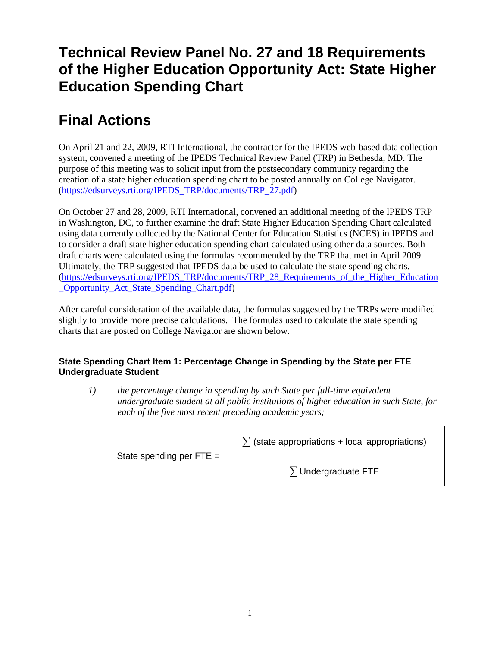## **Technical Review Panel No. 27 and 18 Requirements of the Higher Education Opportunity Act: State Higher Education Spending Chart**

# **Final Actions**

On April 21 and 22, 2009, RTI International, the contractor for the IPEDS web-based data collection system, convened a meeting of the IPEDS Technical Review Panel (TRP) in Bethesda, MD. The purpose of this meeting was to solicit input from the postsecondary community regarding the creation of a state higher education spending chart to be posted annually on College Navigator. [\(https://edsurveys.rti.org/IPEDS\\_TRP/documents/TRP\\_27.pdf\)](https://edsurveys.rti.org/IPEDS_TRP/documents/TRP_27.pdf)

On October 27 and 28, 2009, RTI International, convened an additional meeting of the IPEDS TRP in Washington, DC, to further examine the draft State Higher Education Spending Chart calculated using data currently collected by the National Center for Education Statistics (NCES) in IPEDS and to consider a draft state higher education spending chart calculated using other data sources. Both draft charts were calculated using the formulas recommended by the TRP that met in April 2009. Ultimately, the TRP suggested that IPEDS data be used to calculate the state spending charts. [\(https://edsurveys.rti.org/IPEDS\\_TRP/documents/TRP\\_28\\_Requirements\\_of\\_the\\_Higher\\_Education](https://edsurveys.rti.org/IPEDS_TRP/documents/TRP_28_Requirements_of_the_Higher_Education_Opportunity_Act_State_Spending_Chart.pdf) [\\_Opportunity\\_Act\\_State\\_Spending\\_Chart.pdf\)](https://edsurveys.rti.org/IPEDS_TRP/documents/TRP_28_Requirements_of_the_Higher_Education_Opportunity_Act_State_Spending_Chart.pdf)

After careful consideration of the available data, the formulas suggested by the TRPs were modified slightly to provide more precise calculations. The formulas used to calculate the state spending charts that are posted on College Navigator are shown below.

### **State Spending Chart Item 1: Percentage Change in Spending by the State per FTE Undergraduate Student**

*1) the percentage change in spending by such State per full-time equivalent undergraduate student at all public institutions of higher education in such State, for each of the five most recent preceding academic years;*

|                            | $\sum$ (state appropriations + local appropriations) |
|----------------------------|------------------------------------------------------|
| State spending per $FTE =$ | $\sum$ Undergraduate FTE                             |